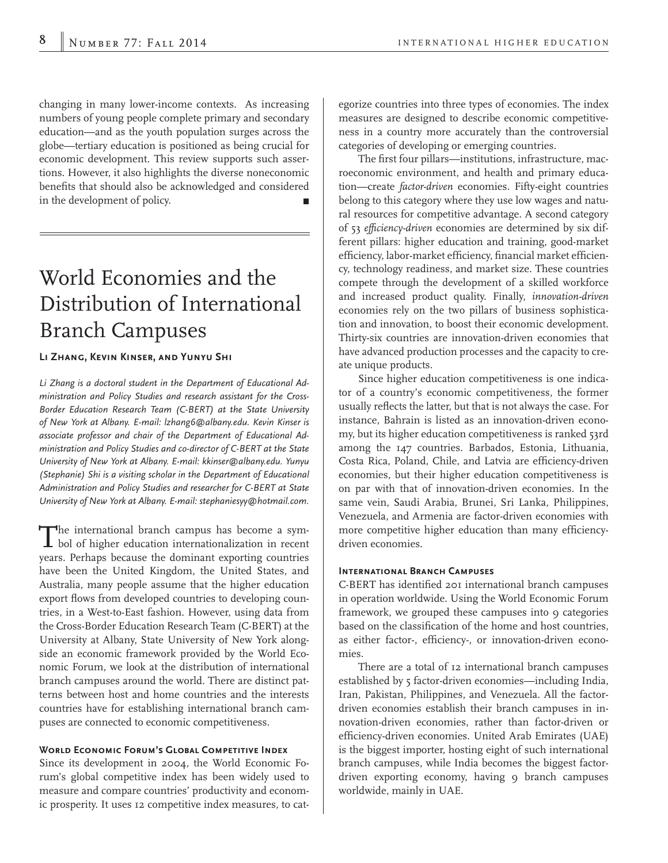changing in many lower-income contexts. As increasing numbers of young people complete primary and secondary education—and as the youth population surges across the globe—tertiary education is positioned as being crucial for economic development. This review supports such assertions. However, it also highlights the diverse noneconomic benefits that should also be acknowledged and considered in the development of policy.

# World Economies and the Distribution of International Branch Campuses

#### **Li Zhang, Kevin Kinser, and Yunyu Shi**

*Li Zhang is a doctoral student in the Department of Educational Administration and Policy Studies and research assistant for the Cross-Border Education Research Team (C-BERT) at the State University of New York at Albany. E-mail: lzhang6@albany.edu. Kevin Kinser is associate professor and chair of the Department of Educational Administration and Policy Studies and co-director of C-BERT at the State University of New York at Albany. E-mail: kkinser@albany.edu. Yunyu (Stephanie) Shi is a visiting scholar in the Department of Educational Administration and Policy Studies and researcher for C-BERT at State University of New York at Albany. E-mail: stephaniesyy@hotmail.com.*

The international branch campus has become <sup>a</sup> sym-bol of higher education internationalization in recent years. Perhaps because the dominant exporting countries have been the United Kingdom, the United States, and Australia, many people assume that the higher education export flows from developed countries to developing countries, in a West-to-East fashion. However, using data from the Cross-Border Education Research Team (C-BERT) at the University at Albany, State University of New York alongside an economic framework provided by the World Economic Forum, we look at the distribution of international branch campuses around the world. There are distinct patterns between host and home countries and the interests countries have for establishing international branch campuses are connected to economic competitiveness.

## **World Economic Forum's Global Competitive Index**

Since its development in 2004, the World Economic Forum's global competitive index has been widely used to measure and compare countries' productivity and economic prosperity. It uses 12 competitive index measures, to categorize countries into three types of economies. The index measures are designed to describe economic competitiveness in a country more accurately than the controversial categories of developing or emerging countries.

The first four pillars—institutions, infrastructure, macroeconomic environment, and health and primary education—create *factor-driven* economies. Fifty-eight countries belong to this category where they use low wages and natural resources for competitive advantage. A second category of 53 *efficiency-driven* economies are determined by six different pillars: higher education and training, good-market efficiency, labor-market efficiency, financial market efficiency, technology readiness, and market size. These countries compete through the development of a skilled workforce and increased product quality. Finally, *innovation-driven*  economies rely on the two pillars of business sophistication and innovation, to boost their economic development. Thirty-six countries are innovation-driven economies that have advanced production processes and the capacity to create unique products.

Since higher education competitiveness is one indicator of a country's economic competitiveness, the former usually reflects the latter, but that is not always the case. For instance, Bahrain is listed as an innovation-driven economy, but its higher education competitiveness is ranked 53rd among the 147 countries. Barbados, Estonia, Lithuania, Costa Rica, Poland, Chile, and Latvia are efficiency-driven economies, but their higher education competitiveness is on par with that of innovation-driven economies. In the same vein, Saudi Arabia, Brunei, Sri Lanka, Philippines, Venezuela, and Armenia are factor-driven economies with more competitive higher education than many efficiencydriven economies.

#### **International Branch Campuses**

C-BERT has identified 201 international branch campuses in operation worldwide. Using the World Economic Forum framework, we grouped these campuses into 9 categories based on the classification of the home and host countries, as either factor-, efficiency-, or innovation-driven economies.

There are a total of 12 international branch campuses established by 5 factor-driven economies—including India, Iran, Pakistan, Philippines, and Venezuela. All the factordriven economies establish their branch campuses in innovation-driven economies, rather than factor-driven or efficiency-driven economies. United Arab Emirates (UAE) is the biggest importer, hosting eight of such international branch campuses, while India becomes the biggest factordriven exporting economy, having 9 branch campuses worldwide, mainly in UAE.